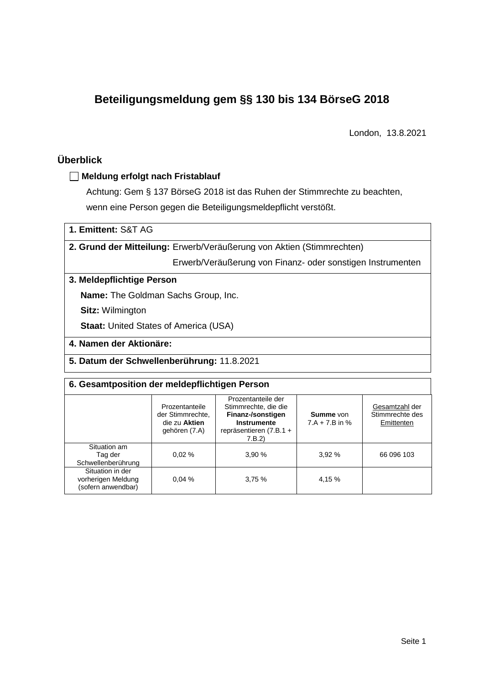# **Beteiligungsmeldung gem §§ 130 bis 134 BörseG 2018**

London, 13.8.2021

## **Überblick**

## **Meldung erfolgt nach Fristablauf**

Achtung: Gem § 137 BörseG 2018 ist das Ruhen der Stimmrechte zu beachten, wenn eine Person gegen die Beteiligungsmeldepflicht verstößt.

**1. Emittent:** S&T AG

**2. Grund der Mitteilung:** Erwerb/Veräußerung von Aktien (Stimmrechten)

Erwerb/Veräußerung von Finanz- oder sonstigen Instrumenten

#### **3. Meldepflichtige Person**

**Name:** The Goldman Sachs Group, Inc.

**Sitz:** Wilmington

**Staat: United States of America (USA)** 

### **4. Namen der Aktionäre:**

**5. Datum der Schwellenberührung:** 11.8.2021

#### **6. Gesamtposition der meldepflichtigen Person**

| Prozentanteile<br>der Stimmrechte,<br>die zu Aktien<br>gehören (7.A) |       | Prozentanteile der<br>Stimmrechte, die die<br>Finanz-/sonstigen<br>Instrumente<br>repräsentieren (7.B.1 +<br>7.B.2 | <b>Summe</b> von<br>$7.A + 7.B$ in % | Gesamtzahl der<br>Stimmrechte des<br>Emittenten |
|----------------------------------------------------------------------|-------|--------------------------------------------------------------------------------------------------------------------|--------------------------------------|-------------------------------------------------|
| Situation am<br>Tag der<br>Schwellenberührung                        | 0.02% | 3.90%                                                                                                              | 3.92%                                | 66 096 103                                      |
| Situation in der<br>vorherigen Meldung<br>(sofern anwendbar)         | 0.04% | 3,75%                                                                                                              | 4,15 %                               |                                                 |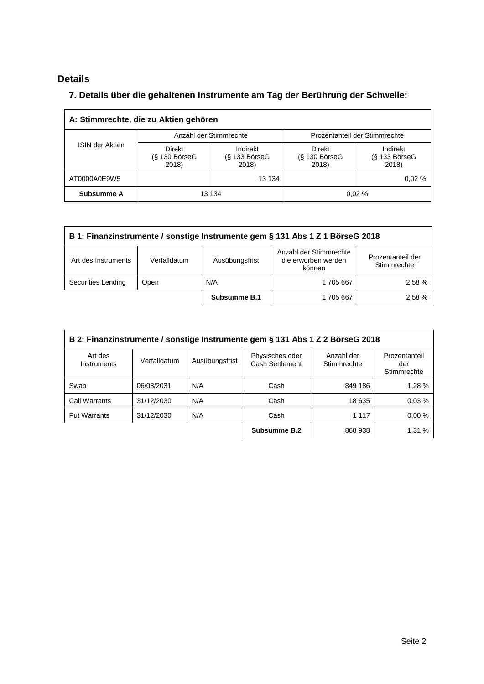# **Details**

## **7. Details über die gehaltenen Instrumente am Tag der Berührung der Schwelle:**

| A: Stimmrechte, die zu Aktien gehören |                                                                            |                        |                                           |                                      |  |  |
|---------------------------------------|----------------------------------------------------------------------------|------------------------|-------------------------------------------|--------------------------------------|--|--|
|                                       |                                                                            | Anzahl der Stimmrechte | Prozentanteil der Stimmrechte             |                                      |  |  |
| <b>ISIN der Aktien</b>                | Direkt<br>Indirekt<br>$(S$ 130 BörseG<br>$(S$ 133 BörseG<br>2018)<br>2018) |                        | <b>Direkt</b><br>$(S$ 130 BörseG<br>2018) | Indirekt<br>$(S$ 133 BörseG<br>2018) |  |  |
| AT0000A0E9W5                          |                                                                            | 13 134                 |                                           | 0.02%                                |  |  |
| Subsumme A                            |                                                                            | 13 134                 |                                           | 0.02%                                |  |  |

| B 1: Finanzinstrumente / sonstige Instrumente gem § 131 Abs 1 Z 1 BörseG 2018 |              |                |                                                         |                                  |  |
|-------------------------------------------------------------------------------|--------------|----------------|---------------------------------------------------------|----------------------------------|--|
| Art des Instruments                                                           | Verfalldatum | Ausübungsfrist | Anzahl der Stimmrechte<br>die erworben werden<br>können | Prozentanteil der<br>Stimmrechte |  |
| Securities Lending<br>Open                                                    |              | N/A            | 1705667                                                 | 2.58 %                           |  |
|                                                                               |              | Subsumme B.1   | 1705667                                                 | 2.58%                            |  |

| B 2: Finanzinstrumente / sonstige Instrumente gem § 131 Abs 1 Z 2 BörseG 2018 |              |                |                                           |                           |                                     |
|-------------------------------------------------------------------------------|--------------|----------------|-------------------------------------------|---------------------------|-------------------------------------|
| Art des<br>Instruments                                                        | Verfalldatum | Ausübungsfrist | Physisches oder<br><b>Cash Settlement</b> | Anzahl der<br>Stimmrechte | Prozentanteil<br>der<br>Stimmrechte |
| Swap                                                                          | 06/08/2031   | N/A            | Cash                                      | 849 186                   | 1,28 %                              |
| Call Warrants                                                                 | 31/12/2030   | N/A            | Cash                                      | 18 635                    | 0.03%                               |
| <b>Put Warrants</b>                                                           | 31/12/2030   | N/A            | Cash                                      | 1 1 1 7                   | 0.00%                               |
|                                                                               |              |                | Subsumme B.2                              | 868 938                   | 1,31 %                              |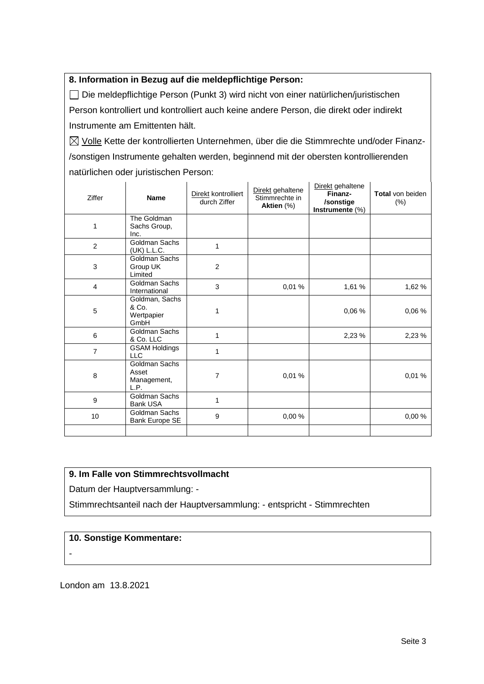## **8. Information in Bezug auf die meldepflichtige Person:**

Die meldepflichtige Person (Punkt 3) wird nicht von einer natürlichen/juristischen Person kontrolliert und kontrolliert auch keine andere Person, die direkt oder indirekt Instrumente am Emittenten hält.

 $\boxtimes$  Volle Kette der kontrollierten Unternehmen, über die die Stimmrechte und/oder Finanz-/sonstigen Instrumente gehalten werden, beginnend mit der obersten kontrollierenden natürlichen oder juristischen Person:

| Ziffer         | <b>Name</b>                                          | Direkt kontrolliert<br>durch Ziffer | Direkt gehaltene<br>Stimmrechte in<br>Aktien (%) | Direkt gehaltene<br>Finanz-<br>/sonstige<br>Instrumente (%) | <b>Total von beiden</b><br>$(\% )$ |
|----------------|------------------------------------------------------|-------------------------------------|--------------------------------------------------|-------------------------------------------------------------|------------------------------------|
| 1              | The Goldman<br>Sachs Group,<br>Inc.                  |                                     |                                                  |                                                             |                                    |
| 2              | Goldman Sachs<br>(UK) L.L.C.                         | 1                                   |                                                  |                                                             |                                    |
| 3              | <b>Goldman Sachs</b><br>Group UK<br>Limited          | $\overline{2}$                      |                                                  |                                                             |                                    |
| $\overline{4}$ | Goldman Sachs<br>International                       | 3                                   | 0.01%                                            | 1,61 %                                                      | 1,62 %                             |
| 5              | Goldman, Sachs<br>& Co.<br>Wertpapier<br>GmbH        | 1                                   |                                                  | 0.06%                                                       | 0,06 %                             |
| 6              | Goldman Sachs<br>& Co. LLC                           | 1                                   |                                                  | 2,23 %                                                      | 2,23 %                             |
| $\overline{7}$ | <b>GSAM Holdings</b><br><b>LLC</b>                   | 1                                   |                                                  |                                                             |                                    |
| 8              | <b>Goldman Sachs</b><br>Asset<br>Management,<br>L.P. | 7                                   | 0.01%                                            |                                                             | 0.01%                              |
| 9              | <b>Goldman Sachs</b><br><b>Bank USA</b>              | 1                                   |                                                  |                                                             |                                    |
| 10             | Goldman Sachs<br>Bank Europe SE                      | 9                                   | 0.00%                                            |                                                             | 0,00 %                             |
|                |                                                      |                                     |                                                  |                                                             |                                    |

### **9. Im Falle von Stimmrechtsvollmacht**

Datum der Hauptversammlung: -

Stimmrechtsanteil nach der Hauptversammlung: - entspricht - Stimmrechten

## **10. Sonstige Kommentare:**

-

London am 13.8.2021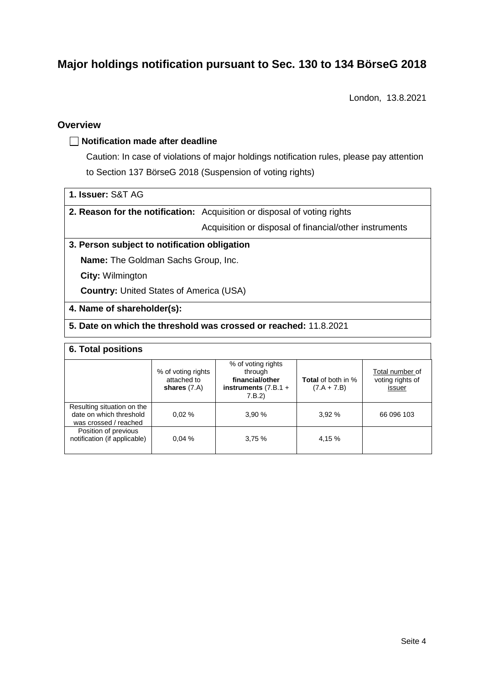# **Major holdings notification pursuant to Sec. 130 to 134 BörseG 2018**

London, 13.8.2021

## **Overview**

#### **Notification made after deadline**

Caution: In case of violations of major holdings notification rules, please pay attention to Section 137 BörseG 2018 (Suspension of voting rights)

| 1. Issuer: S&T AG |  |
|-------------------|--|
|-------------------|--|

**2. Reason for the notification:** Acquisition or disposal of voting rights

Acquisition or disposal of financial/other instruments

#### **3. Person subject to notification obligation**

**Name:** The Goldman Sachs Group, Inc.

**City:** Wilmington

**Country:** United States of America (USA)

#### **4. Name of shareholder(s):**

## **5. Date on which the threshold was crossed or reached:** 11.8.2021

#### **6. Total positions**

|                                                                                | % of voting rights<br>attached to<br>shares $(7.A)$ | % of voting rights<br>through<br>financial/other<br>instruments $(7.B.1 +$<br>7.B.2 | <b>Total</b> of both in %<br>$(7.A + 7.B)$ | Total number of<br>voting rights of<br>issuer |
|--------------------------------------------------------------------------------|-----------------------------------------------------|-------------------------------------------------------------------------------------|--------------------------------------------|-----------------------------------------------|
| Resulting situation on the<br>date on which threshold<br>was crossed / reached | 0.02%                                               | 3.90%                                                                               | 3.92%                                      | 66 096 103                                    |
| Position of previous<br>notification (if applicable)                           | 0.04%                                               | 3.75%                                                                               | 4,15 %                                     |                                               |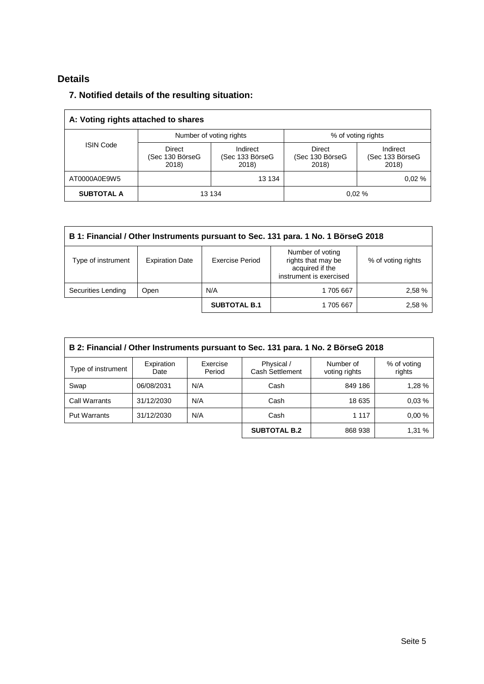## **Details**

## **7. Notified details of the resulting situation:**

| A: Voting rights attached to shares |                                                                            |                         |                                    |                                      |  |  |
|-------------------------------------|----------------------------------------------------------------------------|-------------------------|------------------------------------|--------------------------------------|--|--|
|                                     |                                                                            | Number of voting rights | % of voting rights                 |                                      |  |  |
| <b>ISIN Code</b>                    | Direct<br>Indirect<br>(Sec 130 BörseG<br>(Sec 133 BörseG<br>2018)<br>2018) |                         | Direct<br>(Sec 130 BörseG<br>2018) | Indirect<br>(Sec 133 BörseG<br>2018) |  |  |
| AT0000A0E9W5                        |                                                                            | 13 134                  |                                    | 0.02%                                |  |  |
| <b>SUBTOTAL A</b>                   |                                                                            | 13 134                  |                                    | 0.02%                                |  |  |

| B 1: Financial / Other Instruments pursuant to Sec. 131 para. 1 No. 1 BörseG 2018 |                        |                     |                                                                                      |                    |  |
|-----------------------------------------------------------------------------------|------------------------|---------------------|--------------------------------------------------------------------------------------|--------------------|--|
| Type of instrument                                                                | <b>Expiration Date</b> | Exercise Period     | Number of voting<br>rights that may be<br>acquired if the<br>instrument is exercised | % of voting rights |  |
| Securities Lending                                                                | Open                   | N/A                 | 1705667                                                                              | 2,58 %             |  |
|                                                                                   |                        | <b>SUBTOTAL B.1</b> | 1705667                                                                              | 2,58 %             |  |

| B 2: Financial / Other Instruments pursuant to Sec. 131 para. 1 No. 2 BörseG 2018 |                    |                    |                               |                            |                       |  |
|-----------------------------------------------------------------------------------|--------------------|--------------------|-------------------------------|----------------------------|-----------------------|--|
| Type of instrument                                                                | Expiration<br>Date | Exercise<br>Period | Physical /<br>Cash Settlement | Number of<br>voting rights | % of voting<br>rights |  |
| Swap                                                                              | 06/08/2031         | N/A                | Cash                          | 849 186                    | 1.28 %                |  |
| Call Warrants                                                                     | 31/12/2030         | N/A                | Cash                          | 18 635                     | 0.03%                 |  |
| <b>Put Warrants</b>                                                               | 31/12/2030         | N/A                | Cash                          | 1 1 1 7                    | 0.00%                 |  |
|                                                                                   |                    |                    | <b>SUBTOTAL B.2</b>           | 868 938                    | 1,31 %                |  |